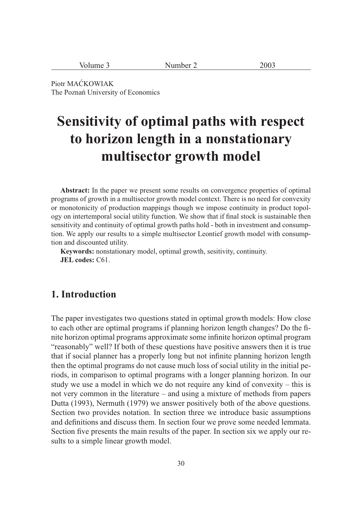| 2003<br>Volume 3<br>Number 2 |
|------------------------------|
|------------------------------|

Piotr MAĆKOWIAK The Poznań University of Economics

# **Sensitivity of optimal paths with respect to horizon length in a nonstationary multisector growth model**

**Abstract:** In the paper we present some results on convergence properties of optimal programs of growth in a multisector growth model context. There is no need for convexity or monotonicity of production mappings though we impose continuity in product topology on intertemporal social utility function. We show that if final stock is sustainable then sensitivity and continuity of optimal growth paths hold - both in investment and consumption. We apply our results to a simple multisector Leontief growth model with consumption and discounted utility.

**Keywords:** nonstationary model, optimal growth, sesitivity, continuity. **JEL codes:** C61.

#### **1. Introduction**

The paper investigates two questions stated in optimal growth models: How close to each other are optimal programs if planning horizon length changes? Do the finite horizon optimal programs approximate some infinite horizon optimal program "reasonably" well? If both of these questions have positive answers then it is true that if social planner has a properly long but not infinite planning horizon length then the optimal programs do not cause much loss of social utility in the initial periods, in comparison to optimal programs with a longer planning horizon. In our study we use a model in which we do not require any kind of convexity – this is not very common in the literature – and using a mixture of methods from papers Dutta (1993), Nermuth (1979) we answer positively both of the above questions. Section two provides notation. In section three we introduce basic assumptions and definitions and discuss them. In section four we prove some needed lemmata. Section five presents the main results of the paper. In section six we apply our results to a simple linear growth model.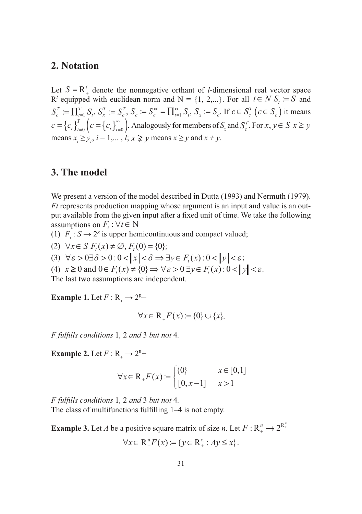#### **2. Notation**

Let  $S = \mathbb{R}^l_+$  denote the nonnegative orthant of *l*-dimensional real vector space  $R^l$  equipped with euclidean norm and  $N = \{1, 2,...\}$ . For all  $t \in N$   $S_t := S$  and  $S_c^T := \prod_{t=1}^T S_t$ *t*  $:= \prod_{t=1}^T S_t$ ,  $S_x^T := S$  $\mathbf{f} = \mathbf{S}_c^T, \ \mathbf{S}_c := \mathbf{S}_c^{\infty} = \prod_{t=1}^{\infty} \mathbf{S}_t$  $\sum_{t=1}^{\infty} S_t$ ,  $S_x := S_c$ . If  $c \in S_c^T$   $(c \in S_c)$  it means  $c = \left\{c_t\right\}_{t=0}^T \left(c = \left\{c_t\right\}_{t=0}^{\infty} \right)$ . Analogously for members of  $S_x$  and  $S_c^T$ . For  $x, y \in S$   $x \geq y$ means  $x_i \ge y_i$ ,  $i = 1,..., l$ ;  $x \ge y$  means  $x \ge y$  and  $x \ne y$ .

#### **3. The model**

We present a version of the model described in Dutta (1993) and Nermuth (1979). *Ft* represents production mapping whose argument is an input and value is an output available from the given input after a fixed unit of time. We take the following assumptions on  $F_t : \forall t \in \mathbb{N}$ 

(1)  $F_t$ :  $S \rightarrow 2^s$  is upper hemicontinuous and compact valued;

- (2)  $\forall x \in S \ F_t(x) \neq \emptyset, F_t(0) = \{0\};$
- (3)  $\forall \varepsilon > 0 \exists \delta > 0 : 0 < ||x|| < \delta \Rightarrow \exists y \in F_{\varepsilon}(x) : 0 < ||y|| < \varepsilon;$

(4)  $x \ge 0$  and  $0 \in F(x) \ne \{0\} \Rightarrow \forall \varepsilon > 0 \exists y \in F(x) : 0 < ||y|| < \varepsilon$ .

The last two assumptions are independent.

**Example 1.** Let  $F : \mathbb{R} \to 2^{\mathbb{R}+}$ 

$$
\forall x \in \mathbb{R}_{+} F(x) := \{0\} \cup \{x\}.
$$

*F fulfi lls conditions* 1*,* 2 *and* 3 *but not* 4*.*

**Example 2.** Let  $F: \mathbb{R}_+ \to 2^{\mathbb{R}_+}$ 

$$
\forall x \in \mathbb{R}_{+} F(x) := \begin{cases} \{0\} & x \in [0,1] \\ [0, x-1] & x > 1 \end{cases}
$$

*F fulfi lls conditions* 1*,* 2 *and* 3 *but not* 4*.* The class of multifunctions fulfilling 1–4 is not empty.

**Example 3.** Let *A* be a positive square matrix of size *n*. Let  $F: \mathbb{R}^n_+ \to 2^{\mathbb{R}^n_+}$ 

$$
\forall x \in \mathbb{R}^{\mathsf{n}}_{+} F(x) := \{ y \in \mathbb{R}^{\mathsf{n}}_{+} : Ay \leq x \}.
$$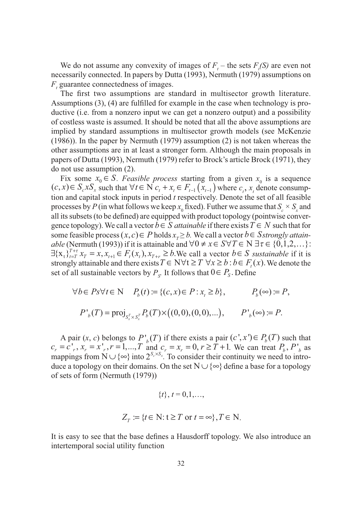We do not assume any convexity of images of  $F_t$  – the sets  $F_t(S)$  are even not necessarily connected. In papers by Dutta (1993), Nermuth (1979) assumptions on *F*<sub>,</sub> guarantee connectedness of images.

The first two assumptions are standard in multisector growth literature. Assumptions  $(3)$ ,  $(4)$  are fulfilled for example in the case when technology is productive (i.e. from a nonzero input we can get a nonzero output) and a possibility of costless waste is assumed. It should be noted that all the above assumptions are implied by standard assumptions in multisector growth models (see McKenzie (1986)). In the paper by Nermuth (1979) assumption (2) is not taken whereas the other assumptions are in at least a stronger form. Although the main proposals in papers of Dutta (1993), Nermuth (1979) refer to Brock's article Brock (1971), they do not use assumption (2).

Fix some  $x_0 \in S$ . *Feasible process* starting from a given  $x_0$  is a sequence  $(c, x) \in S_c x S_x$  such that  $\forall t \in N$   $c_t + x_t \in F_{t-1}(x_{t-1})$  where  $c_t, x_t$  denote consumption and capital stock inputs in period *t* respectively. Denote the set of all feasible processes by *P* (in what follows we keep  $x_0$  fixed). Futher we assume that  $S_c \times S_x$  and all its subsets (to be defined) are equipped with product topology (pointwise convergence topology). We call a vector  $b \in S$  *attainable* if there exists  $T \in N$  such that for some feasible process  $(x, c) \in P$  holds  $x_r \geq b$ . We call a vector  $b \in$  *Sstrongly attainable* (Nermuth (1993)) if it is attainable and  $\forall 0 \neq x \in S \forall T \in N \exists \tau \in \{0,1,2,...\}$ :  $\exists \{x_t\}_{t=T}^{T+\tau} x_T = x, x_{t+1} \in F_t(x_t), x_{T+\tau} \geq b$ . We call a vector  $b \in S$  *sustainable* if it is strongly attainable and there exists  $T \in N \forall t \geq T \ \forall x \geq b : b \in F_{t}(x)$ . We denote the set of all sustainable vectors by  $P_s$ . It follows that  $0 \in P_s$ . Define

$$
\forall b \in P s \forall t \in \mathbb{N} \quad P_b(t) := \{(c, x) \in P : x_t \ge b\}, \qquad P_b(\infty) := P,
$$
  

$$
P'_b(T) = \text{proj}_{S_x^T \times S_x^T} P_b(T) \times ((0, 0), (0, 0), \dots), \qquad P'_b(\infty) := P.
$$

A pair  $(x, c)$  belongs to  $P'_{b}(T)$  if there exists a pair  $(c', x') \in P_{b}(T)$  such that  $c_r = c^r$ ,  $x_r = x^r$ ,  $r = 1,..., T$  and  $c_r = x_r = 0, r \ge T + 1$ . We can treat  $P_b$ ,  $P^r_b$  as mappings from  $N \cup \{\infty\}$  into  $2^{S_c \times S_x}$ . To consider their continuity we need to introduce a topology on their domains. On the set  $N \cup \{\infty\}$  define a base for a topology of sets of form (Nermuth (1979))

$$
\{t\}, t = 0, 1, ...,
$$
  

$$
Z_T := \{t \in \mathbb{N} : t \geq T \text{ or } t = \infty\}, T \in \mathbb{N}.
$$

It is easy to see that the base defines a Hausdorff topology. We also introduce an intertemporal social utility function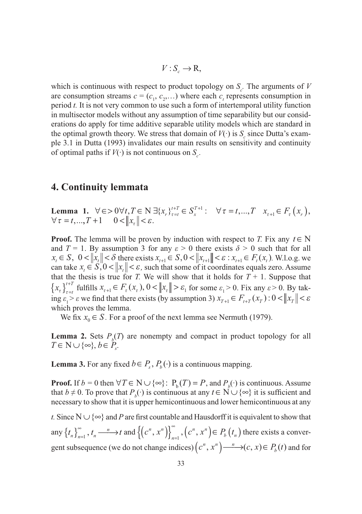$$
V: S_c \to \mathbf{R},
$$

which is continuous with respect to product topology on  $S_c$ . The arguments of *V* are consumption streams  $c = (c_1, c_2, \ldots)$  where each  $c_t$  represents consumption in period *t.* It is not very common to use such a form of intertemporal utility function in multisector models without any assumption of time separability but our considerations do apply for time additive separable utility models which are standard in the optimal growth theory. We stress that domain of  $V(\cdot)$  is  $S_{\varepsilon}$  since Dutta's example 3.1 in Dutta (1993) invalidates our main results on sensitivity and continuity of optimal paths if  $V(\cdot)$  is not continuous on  $S_c$ .

#### **4. Continuity lemmata**

**Lemma 1.**  $\forall \epsilon > 0 \forall t, T \in \mathbb{N} \exists \{x_r\}_{\tau=t}^{t+T} \in S_{x}^{T+1}: \forall \tau = t, ..., T \quad x_{\tau+1} \in F_{\tau}(x_r)$ *x*  $T \in N \exists \{x_r\}_{\tau=t}^{t+T} \in S_{x}^{T+1} : \quad \forall \tau = t, ..., T \quad x_{\tau+1} \in F_{\tau}(x_r),$  $\forall \tau = t, ..., T + 1 \quad 0 < ||x_\tau|| < \varepsilon.$ 

**Proof.** The lemma will be proven by induction with respect to *T*. Fix any  $t \in N$ and *T* = 1. By assumption 3 for any  $\varepsilon > 0$  there exists  $\delta > 0$  such that for all  $x_t \in S$ ,  $0 < ||x_t|| < \delta$  there exists  $x_{t+1} \in S$ ,  $0 < ||x_{t+1}|| < \varepsilon$  :  $x_{t+1} \in F_t(x_t)$ . W.l.o.g. we can take  $x_t \in S$ ,  $0 < ||x_t|| < \varepsilon$ , such that some of it coordinates equals zero. Assume that the thesis is true for *T*. We will show that it holds for  $T + 1$ . Suppose that  $\{x_{\tau}\}_{\tau=t}^{t+T}$  fulfills  $x_{\tau+1} \in F_{\tau}(x_{\tau}), 0 < ||x_{\tau}|| > \varepsilon_1$  for some  $\varepsilon_1 > 0$ . Fix any  $\varepsilon > 0$ . By taking  $\varepsilon_1 > \varepsilon$  we find that there exists (by assumption 3)  $x_{T+1} \in F_{t+T}(x_T)$ :  $0 < ||x_T|| < \varepsilon$ which proves the lemma.

We fix  $x_0 \in S$ . For a proof of the next lemma see Nermuth (1979).

**Lemma 2.** Sets  $P_b(T)$  are nonempty and compact in product topology for all  $T \in \mathbb{N} \cup \{\infty\}, b \in P_s$ 

**Lemma 3.** For any fixed  $b \in P_s$ ,  $P_b(\cdot)$  is a continuous mapping.

**Proof.** If  $b = 0$  then  $\forall T \in \mathbb{N} \cup \{\infty\}$ :  $P_b(T) = P$ , and  $P_b(\cdot)$  is continuous. Assume that *b*  $\neq$  0. To prove that *P<sub>b</sub>*( $\cdot$ ) is continuous at any *t*  $\in$  N  $\cup$  { $\infty$ } it is sufficient and necessary to show that it is upper hemicontinuous and lower hemicontinuous at any

*t*. Since  $N \cup \{\infty\}$  and *P* are first countable and Hausdorff it is equivalent to show that any  $\{t_n\}_{n=1}^{\infty}$ ,  $t_n \longrightarrow t$  and  $\{(c^n, x^n)\}_{n=1}^{\infty}$ ,  $(c^n, x^n) \in P_b(t)$  $\{(c^n, x^n)\}_{n=1}^{\infty}, (c^n, x^n) \in P_b(t_n)$  $_1, (c^n, x^n) \in P_b(t_n)$  there exists a convergent subsequence (we do not change indices)  $(c^n, x^n) \longrightarrow (c, x) \in P_b(t)$  and for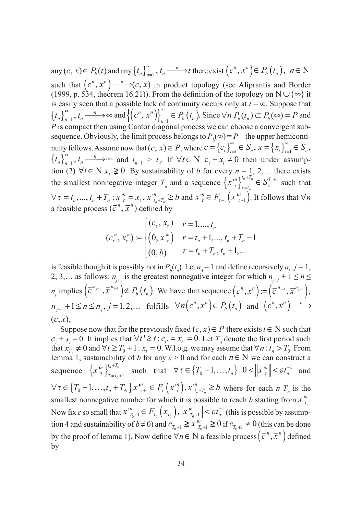any  $(c, x) \in P_b(t)$  and any  $\{t_n\}_{n=1}^{\infty}$ ,  $t_n \longrightarrow t$  there exist  $(c^n, x^n) \in P_b(t_n)$ ,  $n \in \mathbb{N}$ such that  $(c^n, x^n) \longrightarrow (c, x)$  in product topology (see Aliprantis and Border (1999, p. 534, theorem 16.21)). From the definition of the topology on  $N \cup \{\infty\}$  it is easily seen that a possible lack of continuity occurs only at  $t = \infty$ . Suppose that  $\left\{t_n\right\}_{n=1}^{\infty}, t_n \longrightarrow \infty$  and  $\left\{\left(c^n, x^n\right)\right\}_{n=1}^{\infty} \in P_b(r_n)$  $P_b(t_n)$ . Since  $\forall n \ P_b(t_n) \subset P_b(\infty) = P$  and *P* is compact then using Cantor diagonal process we can choose a convergent subsequence. Obviously, the limit process belongs to  $P_b(\infty) = P$  – the upper hemicontinuity follows. Assume now that  $(c, x) \in P$ , where  $c = \{c_t\}_{t=1}^{\infty} \in S_c$ ,  $x = \{x_t\}_{t=1}^{\infty} \in S_c$  $\overline{a}$  $S_c, x = \{x_t\}_{t=1}^{\infty} \in S_c,$  $\{t_n\}_{n=1}^{\infty}$ ,  $t_n \longrightarrow \infty$  and  $t_{n+1} > t_n$ . If  $\forall t \in \mathbb{N}$  c<sub>t</sub> + x<sub>t</sub>  $\neq 0$  then under assumption (2) ∀ $t \in N$  *x*<sub>t</sub> ≥ 0. By sustainability of *b* for every  $n = 1, 2,...$  there exists the smallest nonnegative integer  $T_n$  and a sequence  $\left\{x \atop r \right\}_{r=t_n}^{n} \in S$  $t_n + T$ *x T n*  $\left\{ x \, \int_{\tau}^n \right\}_{\tau = t_n}^{t_n + T_n} \in S_x^{T_n + 1}$  such that  $\forall \tau = t_n, ..., t_n + T_n : x_i^m = x_{\tau}, x_{t_n + T_n}^m \ge b$  $t_n + T$  $a_1, ..., a_n + T_n : x_{\tau}^m = x_{\tau}, x_{\tau}^m \ge b$  and  $x_{\tau}^m \in F_{\tau-1}(x_{\tau-1}^m)$ . It follows that  $\forall n$ a feasible process  $(\overline{c}^n, \overline{x}^n)$  defined by

$$
(\overline{c}_{\tau}^{n}, \overline{x}_{\tau}^{n}) := \begin{cases} (c_{\tau}, x_{\tau}) & r = 1, ..., t_{n} \\ (0, x_{\tau}^{n}) & r = t_{n} + 1, ..., t_{n} + T_{n} - 1 \\ (0, b) & r = t_{n} + T_{n}, t_{n} + 1, ... \end{cases}
$$

is feasible though it is possibly not in  $P_b(t_n)$ . Let  $n_0 = 1$  and define recursively  $n_j$ ,  $j = 1$ , 2, 3,… as follows:  $n_{j+1}$  is the greatest nonnegative integer for which  $n_{j-1} + 1 \le n \le n$  $m_j$  implies  $(\overline{c}^{n_{j-1}}, \overline{x}^{n_{j-1}}) \notin P_b(t_n)$ . We have that sequence  $(c^n, x^n) := (\overline{c}^{n_{j-1}}, \overline{x}^{n_{j-1}})$ ,  $n_{j-1} + 1 \le n \le n_j, j = 1, 2, \dots$  fulfills  $\forall n (c^n, x^n) \in P_b(r_n)$  and  $(c^n, x^n) \longrightarrow$  $(c, x)$ .

Suppose now that for the previously fixed  $(c, x) \in P$  there exists  $t \in N$  such that  $c_t + x_t = 0$ . It implies that  $\forall t' \ge t : c_{t'} = x_{t'} = 0$ . Let  $T_0$  denote the first period such that  $x_{T_0} \neq 0$  and  $\forall t \geq T_0 + 1$ :  $x_t = 0$ . W.l.o.g. we may assume that  $\forall n : t_n > T_0$ . From lemma 1, sustainability of *b* for any  $\varepsilon > 0$  and for each  $n \in N$  we can construct a sequence  $\{x\}_{T}^{n}$  $\left\{ x \frac{m}{T} \right\}_{T=T_0+}^{t_n+T_n}$  $\int_{0}^{\pi}$  such that  $\forall \tau \in \{T_0 + 1, ..., t_n\} : 0 < ||x|^m \le \varepsilon t_n^{-1}$  $\left\{x_{0}^{n}+1, \ldots, t_{n}\right\}: 0 < \left\|x_{\tau}^{n}\right\| < \varepsilon t_{n}^{-1}$  and  $\forall \tau \in \left\{ T_0 + 1, \ldots, t_n + T_N \right\} x \,^m_{\tau+1} \in F_\tau \left( x \,^m_{\tau} \right), x \,^m_{\tau_n + T_n} \geq b$  $T_0 + 1, ..., t_n + T_N$   $x_{\tau+1}^m \in F_\tau(x_{\tau}^m), x_{t_n + T_n}^m \ge b$  where for each *n*  $T_n$  is the smallest nonnegative number for which it is possible to reach *b* starting from  $x_{t}^{m}$ *n*  $\frac{m}{t}$ . Now fix  $\varepsilon$  so small that  $x \cdot x_{T_0+1}^m \in F_{T_0}\left(x_{T_0}\right), \|x \cdot x_{T_0+1}^m\| < \varepsilon t$  $T_0 \left( \mathcal{F} T_0 \right)$   $|| \mathcal{F} T_1$  $T_{T_0+1}^n \in F_{T_0}\left(x_{T_0}\right), \left\|x_{T_0+1}^m\right\| < \varepsilon t_n^{-1}$  $\mathcal{E}_{t_{n}}\in F_{T_{0}}\left(x_{T_{0}}\right),\left\Vert x_{T_{0}+1}^{m}\right\Vert <\varepsilon t_{n}^{-1}$  (this is possible by assumption 4 and sustainability of  $b \neq 0$ ) and  $c_{T_0+1} \geq x_{T_0+1}^m \geq 0$  if  $c_{T_0+1} \neq 0$  (this can be done by the proof of lemma 1). Now define  $\forall n \in \mathbb{N}$  a feasible process  $(\overline{c}^n, \overline{x}^n)$  defined by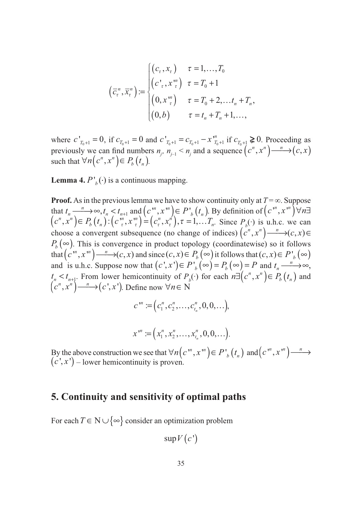$$
\left(\overline{c}_{\tau}^{n}, \overline{x}_{\tau}^{n}\right) := \begin{cases} \left(c_{\tau}, x_{\tau}\right) & \tau = 1, ..., T_{0} \\ \left(c_{\tau}, x_{\tau}^{m}\right) & \tau = T_{0} + 1 \\ \left(0, x_{\tau}^{m}\right) & \tau = T_{0} + 2, ..., t_{n} + T_{n}, \\ \left(0, b\right) & \tau = t_{n} + T_{n} + 1, ..., \end{cases}
$$

where  $c'_{T_0+1} = 0$ , if  $c_{T_0+1} = 0$  and  $c'_{T_0+1} = c_{T_0+1} - x''_{T_0+1}$  if  $c_{T_0+1} \ge 0$ . Proceeding as previously we can find numbers  $n_j$ ,  $n_{j-1} < n_j$  and a sequence  $(c^n, x^n) \rightarrow (c, x)$ such that  $\forall n (c^n, x^n) \in P_b(t_n)$ .

**Lemma 4.**  $P'_{b}(\cdot)$  is a continuous mapping.

**Proof.** As in the previous lemma we have to show continuity only at  $T = \infty$ . Suppose that  $t_n \longrightarrow \infty$ ,  $t_n \le t_{n+1}$  and  $(c^m, x^m) \in P$ ,  $(t_n)$ . By definition of  $(c^m, x^m) \forall n \exists$  $(c^n, x^n) \in P_b(r_n)$  :  $(c_{\tau}^m, x_{\tau}^m) = (c_{\tau}^n, x_{\tau}^m), \tau = 1, ... T$  $(c^n, x^n) \in P_b(t_n)$ :  $(c^n, x^n) = (c^n, x^n)$ ,  $\tau = 1, \ldots, T_n$ . Since  $P_b(\cdot)$  is u.h.c. we can choose a convergent subsequence (no change of indices)  $(c^n, x^n) \xrightarrow{n} (c, x) \in \mathbb{R}$  $P_b(\infty)$ . This is convergence in product topology (coordinatewise) so it follows that  $(c^m, x^m) \longrightarrow (c, x)$  and since  $(c, x) \in P_b(\infty)$  it follows that  $(c, x) \in P_b(\infty)$ and is u.h.c. Suppose now that  $(c', x') \in P'_{b}(\infty) = P_{b}(\infty) = P$  and  $t_{n} \longrightarrow \infty$ ,  $t_n < t_{n+1}$ . From lower hemicontinuity of  $P_b(\cdot)$  for each  $n \exists (c^n, x^n) \in P_b(t_n)$  and  $(c^n, x^n) \longrightarrow (c', x')$ . Define now  $\forall n \in \mathbb{N}$ 

$$
c'':=(c_1'',c_2'',\ldots,c_{t_n}^n,0,0,\ldots),
$$

$$
x^{"\prime}:=(x_1^n,x_2^n,\ldots,x_{t_n}^n,0,0,\ldots).
$$

By the above construction we see that  $\forall n (c^{\prime n}, x^{\prime n}) \in P_{b}(t_{n})$  and  $(c^{\prime n}, x^{\prime n}) \longrightarrow$  $(c', x')$  – lower hemicontinuity is proven.

### **5. Continuity and sensitivity of optimal paths**

For each  $T \in N \cup \{\infty\}$  consider an optimization problem

$$
\sup V(c')
$$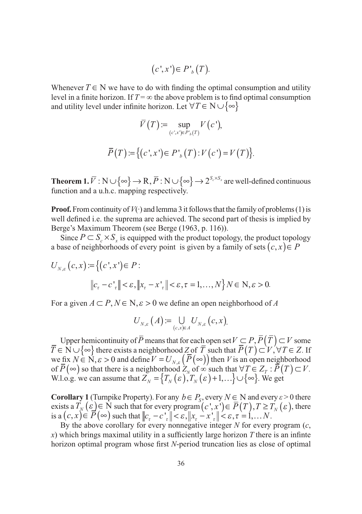$$
(c',x') \in P'_{b}(T).
$$

Whenever  $T \in N$  we have to do with finding the optimal consumption and utility level in a finite horizon. If  $T = \infty$  the above problem is to find optimal consumption and utility level under infinite horizon. Let  $\forall T \in N \cup \{\infty\}$ 

$$
\overline{V}(T) := \sup_{(c',x') \in P_b(T)} V(c'),
$$
  

$$
\overline{P}(T) := \{ (c',x') \in P_b(T) : V(c') = V(T) \}.
$$

**Theorem 1.**  $\overline{V}$  :  $N \cup \{\infty\} \rightarrow R$ ,  $\overline{P}$  :  $N \cup \{\infty\} \rightarrow 2^{S_c \times S_x}$  are well-defined continuous function and a u.h.c. mapping respectively.

**Proof.** From continuity of  $V(\cdot)$  and lemma 3 it follows that the family of problems (1) is well defined i.e. the suprema are achieved. The second part of thesis is implied by Berge's Maximum Theorem (see Berge (1963, p. 116)).

Since  $P \subset S_{\alpha} \times S_{\alpha}$  is equipped with the product topology, the product topology a base of neighborhoods of every point is given by a family of sets  $(c, x) \in P$ 

$$
U_{N,\varepsilon}(c,x) := \left\{ (c',x') \in P : \left\|c_{\tau} - c_{\tau}\right\| < \varepsilon, \left\|x_{\tau} - x_{\tau}\right\| < \varepsilon, \tau = 1, \ldots, N \right\} N \in \mathbb{N}, \varepsilon > 0.
$$

For a given  $A \subset P$ ,  $N \in N$ ,  $\varepsilon > 0$  we define an open neighborhood of A

$$
U_{N,\varepsilon}\left(A\right) := \bigcup_{(c,x)\in A} U_{N,\varepsilon}\left(c,x\right).
$$

Upper hemicontinuity of *P* means that for each open set  $V \subseteq P, P(T) \subseteq V$  some  $T \in N \cup \{\infty\}$  there exists a neighborhood *Z* of *T* such that  $P(T) \subset V, \forall T \in Z$ . If we fix  $N \in \mathbb{N}, \varepsilon > 0$  and define  $V = U_{N,\varepsilon} (P(\infty))$  then *V* is an open neighborhood of  $P(\infty)$  so that there is a neighborhood  $Z_N$  of  $\infty$  such that  $\forall T \in Z_T : P(T) \subset V$ . W.l.o.g. we can assume that  $Z_N = \{T_N(\varepsilon), T_N(\varepsilon) + 1, ...\} \cup \{\infty\}$ . We get

**Corollary 1** (Turnpike Property). For any  $b \in P_s$ , every  $N \in N$  and every  $\varepsilon > 0$  there exists a  $T_N(\varepsilon) \in N$  such that for every program  $(c', x') \in \overline{P}(T), T \geq T_N(\varepsilon)$ , there is a  $(c, x) \in P(\infty)$  such that  $||c_{\tau} - c \cdot_{\tau}|| < \varepsilon, ||x_{\tau} - x \cdot_{\tau}|| < \varepsilon, \tau = 1, \ldots N$ .

By the above corollary for every nonnegative integer *N* for every program (*c*, *) which brings maximal utility in a sufficiently large horizon*  $*T*$  *there is an infinite* horizon optimal program whose first *N*-period truncation lies as close of optimal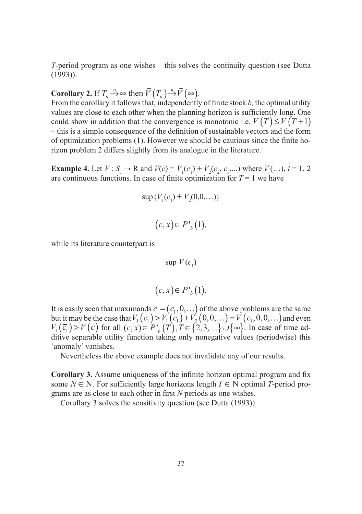*T*-period program as one wishes – this solves the continuity question (see Dutta (1993)).

## **Corollary 2.** If  $T_n \to \infty$  then  $\overline{V}(T_n) \to \overline{V}(\infty)$ .

From the corollary it follows that, independently of finite stock *b*, the optimal utility values are close to each other when the planning horizon is sufficiently long. One could show in addition that the convergence is monotonic i.e.  $\overline{V}(T) \leq \overline{V}(T+1)$  $-$  this is a simple consequence of the definition of sustainable vectors and the form of optimization problems  $(1)$ . However we should be cautious since the finite horizon problem 2 differs slightly from its analogue in the literature.

**Example 4.** Let  $V: S_c \to \mathbb{R}$  and  $V(c) = V_1(c_1) + V_2(c_2, c_3, ...)$  where  $V_i(...)$ ,  $i = 1, 2$ are continuous functions. In case of finite optimization for  $T = 1$  we have

$$
\sup \{ V_1(c_1) + V_2(0, 0, \ldots) \}
$$

$$
(c, x) \in P'_{b}(1),
$$

while its literature counterpart is

$$
\sup V(c_1)
$$

$$
(c, x) \in P'_{b}(1).
$$

It is easily seen that maximands  $\overline{c} = (\overline{c}_1, 0, \ldots)$  of the above problems are the same but it may be the case that  $V_1(\overline{c_1}) > V_1(\overline{c_1}) + V_2(0,0,...) = V(\overline{c_1},0,0,...)$  and even  $V_1(\bar{c}_1) > V(c)$  for all  $(c, x) \in P'_{b}(T)$ ,  $T \in \{2, 3, ...\} \cup \{\infty\}$ . In case of time additive separable utility function taking only nonegative values (periodwise) this 'anomaly' vanishes.

Nevertheless the above example does not invalidate any of our results.

**Corollary 3.** Assume uniqueness of the infinite horizon optimal program and fix some  $N \in N$ . For sufficiently large horizons length  $T \in N$  optimal *T*-period programs are as close to each other in first *N* periods as one wishes.

Corollary 3 solves the sensitivity question (see Dutta (1993)).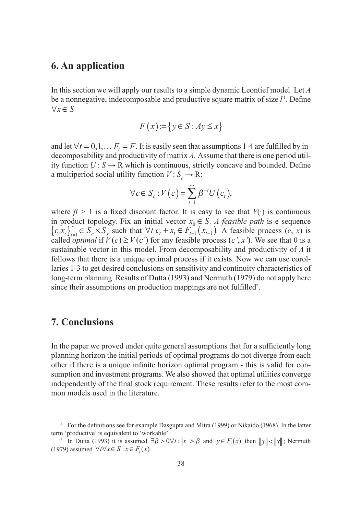#### **6. An application**

In this section we will apply our results to a simple dynamic Leontief model. Let *A*  be a nonnegative, indecomposable and productive square matrix of size  $l<sup>1</sup>$ . Define  $\forall x \in S$ 

$$
F(x) := \{ y \in S : Ay \le x \}
$$

and let  $\forall t = 0, 1, \dots F_t = F$ . It is easily seen that assumptions 1-4 are fulfilled by indecomposability and productivity of matrix *A.* Assume that there is one period utility function  $U: S \to \mathbb{R}$  which is continuous, strictly concave and bounded. Define a multiperiod social utility function  $V: S_c \to \mathbb{R}$ :

$$
\forall c \in S_c : V(c) = \sum_{t=1}^{\infty} \beta^{-t} U(c_t),
$$

where  $\beta > 1$  is a fixed discount factor. It is easy to see that  $V(\cdot)$  is continuous in product topology. Fix an initial vector  $x_0 \in S$ . A feasible path is e sequence  ${c_i x_i}_{i=1}^{\infty} \in S_c \times S_x$  such that  $\forall t \ c_t + x_t \in F_{t-1}^0(x_{t-1})$ . A feasible process  $(c, x)$  is called *optimal* if  $V(c) \ge V(c')$  for any feasible process  $(c', x')$ . We see that 0 is a sustainable vector in this model. From decomposability and productivity of *A* it follows that there is a unique optimal process if it exists. Now we can use corollaries 1-3 to get desired conclusions on sensitivity and continuity characteristics of long-term planning. Results of Dutta (1993) and Nermuth (1979) do not apply here since their assumptions on production mappings are not fulfilled<sup>2</sup>.

#### **7. Conclusions**

In the paper we proved under quite general assumptions that for a sufficiently long planning horizon the initial periods of optimal programs do not diverge from each other if there is a unique infinite horizon optimal program - this is valid for consumption and investment programs. We also showed that optimal utilities converge independently of the final stock requirement. These results refer to the most common models used in the literature.

<sup>&</sup>lt;sup>1</sup> For the definitions see for example Dasgupta and Mitra (1999) or Nikaido (1968). In the latter term 'productive' is equivalent to 'workable'.

<sup>&</sup>lt;sup>2</sup> In Dutta (1993) it is assumed  $\exists \beta > 0 \forall t : ||x|| > \beta$  and  $y \in F_{t}(x)$  then  $||y|| < ||x||$ ; Nermuth (1979) assumed  $\forall t \forall x \in S : x \in F(x)$ .